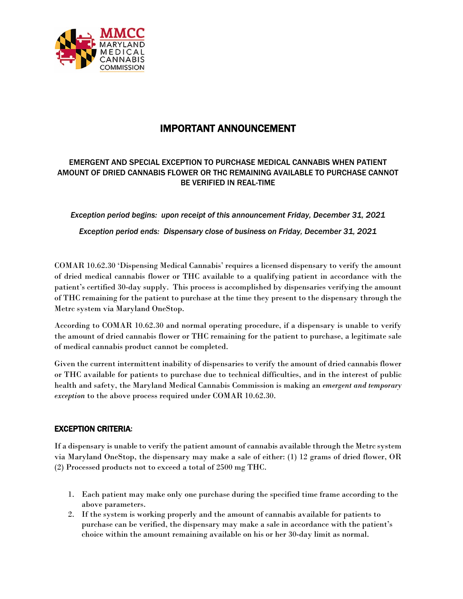

## IMPORTANT ANNOUNCEMENT

## EMERGENT AND SPECIAL EXCEPTION TO PURCHASE MEDICAL CANNABIS WHEN PATIENT AMOUNT OF DRIED CANNABIS FLOWER OR THC REMAINING AVAILABLE TO PURCHASE CANNOT BE VERIFIED IN REAL-TIME

*Exception period begins: upon receipt of this announcement Friday, December 31, 2021*

*Exception period ends: Dispensary close of business on Friday, December 31, 2021*

COMAR 10.62.30 'Dispensing Medical Cannabis' requires a licensed dispensary to verify the amount of dried medical cannabis flower or THC available to a qualifying patient in accordance with the patient's certified 30-day supply. This process is accomplished by dispensaries verifying the amount of THC remaining for the patient to purchase at the time they present to the dispensary through the Metrc system via Maryland OneStop.

According to COMAR 10.62.30 and normal operating procedure, if a dispensary is unable to verify the amount of dried cannabis flower or THC remaining for the patient to purchase, a legitimate sale of medical cannabis product cannot be completed.

Given the current intermittent inability of dispensaries to verify the amount of dried cannabis flower or THC available for patients to purchase due to technical difficulties, and in the interest of public health and safety, the Maryland Medical Cannabis Commission is making an *emergent and temporary exception* to the above process required under COMAR 10.62.30.

## EXCEPTION CRITERIA:

If a dispensary is unable to verify the patient amount of cannabis available through the Metrc system via Maryland OneStop, the dispensary may make a sale of either: (1) 12 grams of dried flower, OR (2) Processed products not to exceed a total of 2500 mg THC.

- 1. Each patient may make only one purchase during the specified time frame according to the above parameters.
- 2. If the system is working properly and the amount of cannabis available for patients to purchase can be verified, the dispensary may make a sale in accordance with the patient's choice within the amount remaining available on his or her 30-day limit as normal.